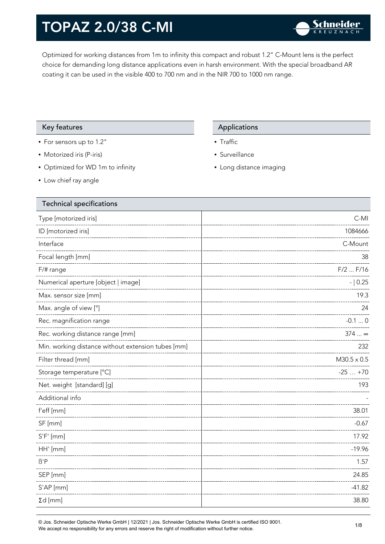Optimized for working distances from 1m to infinity this compact and robust 1.2" C-Mount lens is the perfect choice for demanding long distance applications even in harsh environment. With the special broadband AR coating it can be used in the visible 400 to 700 nm and in the NIR 700 to 1000 nm range.

### Key features **Applications** Applications

- For sensors up to 1.2"
- Motorized iris (P-iris)
- Optimized for WD 1m to infinity
- Low chief ray angle

- Traffic
- Surveillance
- Long distance imaging

| Technical specifications                           |                    |
|----------------------------------------------------|--------------------|
| Type [motorized iris]                              | $C-MI$             |
| ID [motorized iris]                                | 1084666            |
| Interface                                          | C-Mount            |
| Focal length [mm]                                  | 38                 |
| F/# range                                          | $F/2$ $F/16$       |
| Numerical aperture [object   image]                | $- 0.25$           |
| Max. sensor size [mm]                              | 19.3               |
| Max. angle of view [°]                             | 24                 |
| Rec. magnification range                           | $-0.10$            |
| Rec. working distance range [mm]                   | $374$ $\infty$     |
| Min. working distance without extension tubes [mm] | 232                |
| Filter thread [mm]                                 | $M30.5 \times 0.5$ |
| Storage temperature [°C]                           | $-25+70$           |
| Net. weight [standard] [g]                         | 193                |
| Additional info                                    |                    |
| f'eff [mm]                                         | 38.01              |
| SF [mm]                                            | $-0.67$            |
| $S'F'$ [mm]                                        | 17.92              |
| HH' [mm]                                           | $-19.96$           |
| $\beta$ 'P                                         | 1.57               |
| SEP [mm]                                           | 24.85              |
| S'AP [mm]                                          | $-41.82$           |
| $\Sigma d$ [mm]                                    | 38.80              |
|                                                    |                    |

© Jos. Schneider Optische Werke GmbH | 12/2021 | Jos. Schneider Optische Werke GmbH is certified ISO 9001. We accept no responsibility for any errors and reserve the right of modification without further notice.<br>We accept no responsibility for any errors and reserve the right of modification without further notice.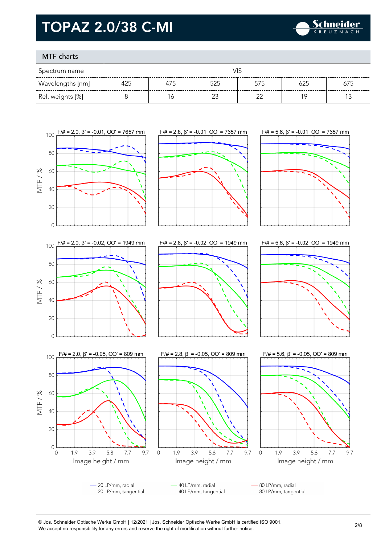

### MTF charts

| Spectrum name    | VIS |     |     |     |     |     |
|------------------|-----|-----|-----|-----|-----|-----|
| Wavelengths [nm] | 425 | 4/5 | 525 | 575 | 625 | 675 |
| Rel. weights [%] |     | Ó   | ∩^  |     | 1 C |     |



9.7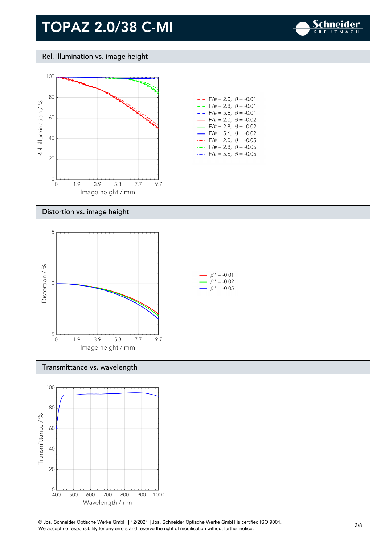

#### Rel. illumination vs. image height



| $-$ - F/# = 2.0, $\beta$ = -0.01         |  |
|------------------------------------------|--|
| $- -$ F/# = 2.8, $\beta$ = -0.01         |  |
| $- -$ F/# = 5.6, $\beta$ = -0.01         |  |
| $\rightarrow$ F/# = 2.0, $\beta$ = -0.02 |  |
| $\rightarrow$ F/# = 2.8, $\beta$ = -0.02 |  |
| $\rightarrow$ F/# = 5.6, $\beta$ = -0.02 |  |
| F/# = 2.0, $\beta$ = -0.05               |  |
| F/# = 2.8, $\beta$ = -0.05               |  |
| $F/\ddot{=} = 5.6$ , $\beta = -0.05$     |  |

#### Distortion vs. image height



#### Transmittance vs. wavelength



© Jos. Schneider Optische Werke GmbH | 12/2021 | Jos. Schneider Optische Werke GmbH is certified ISO 9001. We Jos. Scrinelaer Opuscrie werke GribH | 12/2021 | Jos. Scrinelaer Opuscrie werke GribH is certified ISO 9001.<br>We accept no responsibility for any errors and reserve the right of modification without further notice.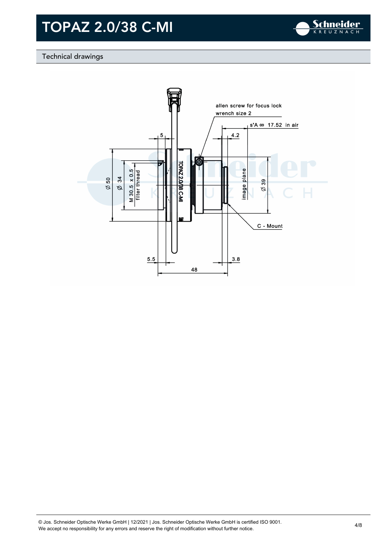

### Technical drawings

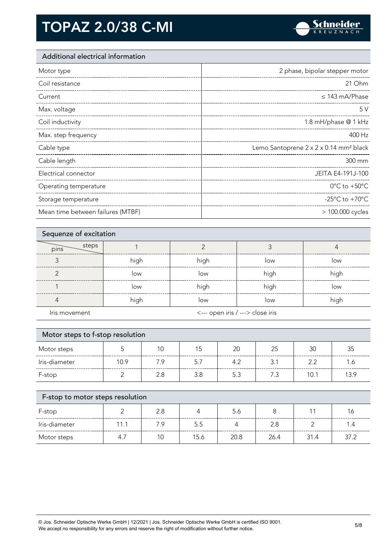

### Additional electrical information

| Motor type                        | 2 phase, bipolar stepper motor                     |
|-----------------------------------|----------------------------------------------------|
| Coil resistance                   | 21 Ohm                                             |
| Current                           | $\leq$ 143 mA/Phase                                |
| Max. voltage                      | 5V                                                 |
| Coil inductivity                  | 1.8 mH/phase @ 1 kHz                               |
| Max. step frequency               | 400 Hz                                             |
| Cable type                        | Lemo Santoprene 2 x 2 x 0.14 mm <sup>2</sup> black |
| Cable length                      | 300 mm                                             |
| Electrical connector              | JEITA E4-191J-100                                  |
| Operating temperature             | $0^{\circ}$ C to +50 $^{\circ}$ C                  |
| Storage temperature               | -25 $^{\circ}$ C to +70 $^{\circ}$ C               |
| Mean time between failures (MTBF) | > 100.000 cycles                                   |

| Sequenze of excitation |      |                                  |      |      |  |
|------------------------|------|----------------------------------|------|------|--|
| steps<br>pins          |      |                                  |      |      |  |
|                        | high | high                             | low  | low  |  |
| ╭                      | low  | low                              | high | high |  |
|                        | low  | high                             | high | low  |  |
|                        | high | low                              | low  | high |  |
| Iris movement          |      | <--- open iris / ---> close iris |      |      |  |

| Motor steps to f-stop resolution |      |     |     |     |     |      |      |
|----------------------------------|------|-----|-----|-----|-----|------|------|
| Motor steps                      |      | 10  | 15  | 20  | 25  | 30   | 35   |
| Iris-diameter                    | 10.9 | 7.9 | 5.7 | 4.2 | 3.1 | 22   | 1.6  |
| F-stop                           |      | 2.8 | 3.8 | 5.3 | 7.3 | 10.1 | 13.9 |
|                                  |      |     |     |     |     |      |      |
| F-stop to motor steps resolution |      |     |     |     |     |      |      |

| F-stop        |      |     |      | 5.6  |      |      |      |
|---------------|------|-----|------|------|------|------|------|
| Iris-diameter | 11.1 | 7 Q | 5.5  |      | 2.8  |      | 1.4  |
| Motor steps   |      |     | 15.6 | 20.8 | 26.4 | 31.4 | 37.2 |

© Jos. Schneider Optische Werke GmbH | 12/2021 | Jos. Schneider Optische Werke GmbH is certified ISO 9001. We accept no responsibility for any errors and reserve the right of modification without further notice. 5/8<br>We accept no responsibility for any errors and reserve the right of modification without further notice.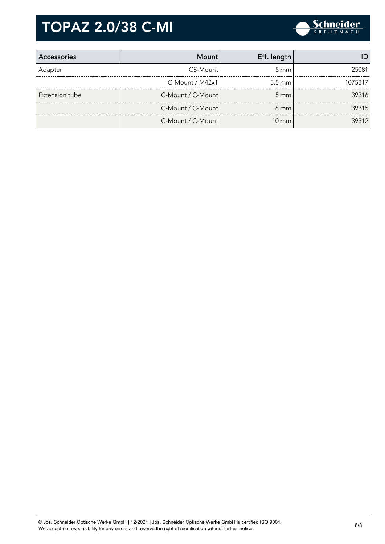

| Accessories    | Mount                 | Eff. length      |         |
|----------------|-----------------------|------------------|---------|
| Adapter        | CS-Mount              | $5 \text{ mm}$   | 25081   |
|                | $C-M$ ount / M42 $x1$ | $5.5 \text{ mm}$ | 1075817 |
| Extension tube | C-Mount / C-Mount     | $5 \, \text{mm}$ | 39316   |
|                | C-Mount / C-Mount     | $8 \text{ mm}$   | 39315   |
|                | C-Mount / C-Mount     | $10 \text{ mm}$  | 39312   |